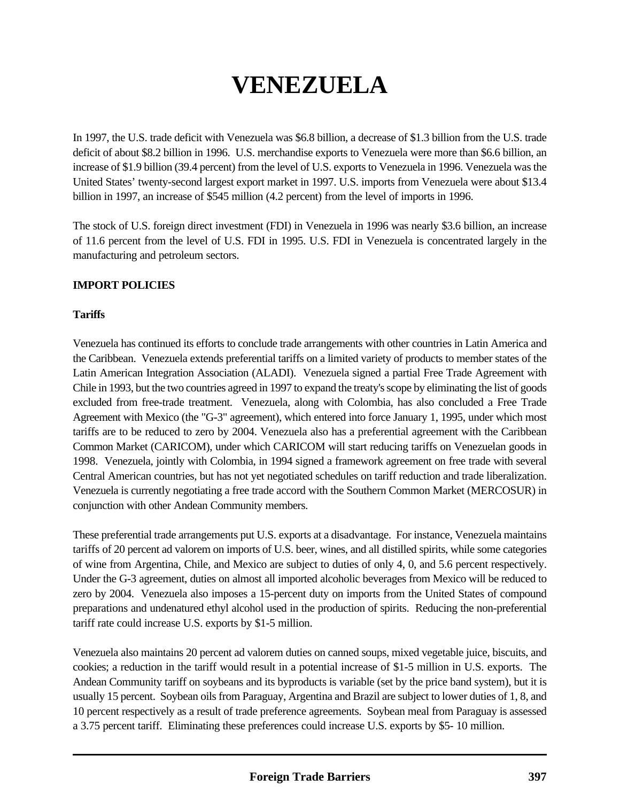# **VENEZUELA**

In 1997, the U.S. trade deficit with Venezuela was \$6.8 billion, a decrease of \$1.3 billion from the U.S. trade deficit of about \$8.2 billion in 1996. U.S. merchandise exports to Venezuela were more than \$6.6 billion, an increase of \$1.9 billion (39.4 percent) from the level of U.S. exports to Venezuela in 1996. Venezuela was the United States' twenty-second largest export market in 1997. U.S. imports from Venezuela were about \$13.4 billion in 1997, an increase of \$545 million (4.2 percent) from the level of imports in 1996.

The stock of U.S. foreign direct investment (FDI) in Venezuela in 1996 was nearly \$3.6 billion, an increase of 11.6 percent from the level of U.S. FDI in 1995. U.S. FDI in Venezuela is concentrated largely in the manufacturing and petroleum sectors.

#### **IMPORT POLICIES**

#### **Tariffs**

Venezuela has continued its efforts to conclude trade arrangements with other countries in Latin America and the Caribbean. Venezuela extends preferential tariffs on a limited variety of products to member states of the Latin American Integration Association (ALADI). Venezuela signed a partial Free Trade Agreement with Chile in 1993, but the two countries agreed in 1997 to expand the treaty's scope by eliminating the list of goods excluded from free-trade treatment. Venezuela, along with Colombia, has also concluded a Free Trade Agreement with Mexico (the "G-3" agreement), which entered into force January 1, 1995, under which most tariffs are to be reduced to zero by 2004. Venezuela also has a preferential agreement with the Caribbean Common Market (CARICOM), under which CARICOM will start reducing tariffs on Venezuelan goods in 1998. Venezuela, jointly with Colombia, in 1994 signed a framework agreement on free trade with several Central American countries, but has not yet negotiated schedules on tariff reduction and trade liberalization. Venezuela is currently negotiating a free trade accord with the Southern Common Market (MERCOSUR) in conjunction with other Andean Community members.

These preferential trade arrangements put U.S. exports at a disadvantage. For instance, Venezuela maintains tariffs of 20 percent ad valorem on imports of U.S. beer, wines, and all distilled spirits, while some categories of wine from Argentina, Chile, and Mexico are subject to duties of only 4, 0, and 5.6 percent respectively. Under the G-3 agreement, duties on almost all imported alcoholic beverages from Mexico will be reduced to zero by 2004. Venezuela also imposes a 15-percent duty on imports from the United States of compound preparations and undenatured ethyl alcohol used in the production of spirits. Reducing the non-preferential tariff rate could increase U.S. exports by \$1-5 million.

Venezuela also maintains 20 percent ad valorem duties on canned soups, mixed vegetable juice, biscuits, and cookies; a reduction in the tariff would result in a potential increase of \$1-5 million in U.S. exports. The Andean Community tariff on soybeans and its byproducts is variable (set by the price band system), but it is usually 15 percent. Soybean oils from Paraguay, Argentina and Brazil are subject to lower duties of 1, 8, and 10 percent respectively as a result of trade preference agreements. Soybean meal from Paraguay is assessed a 3.75 percent tariff. Eliminating these preferences could increase U.S. exports by \$5- 10 million.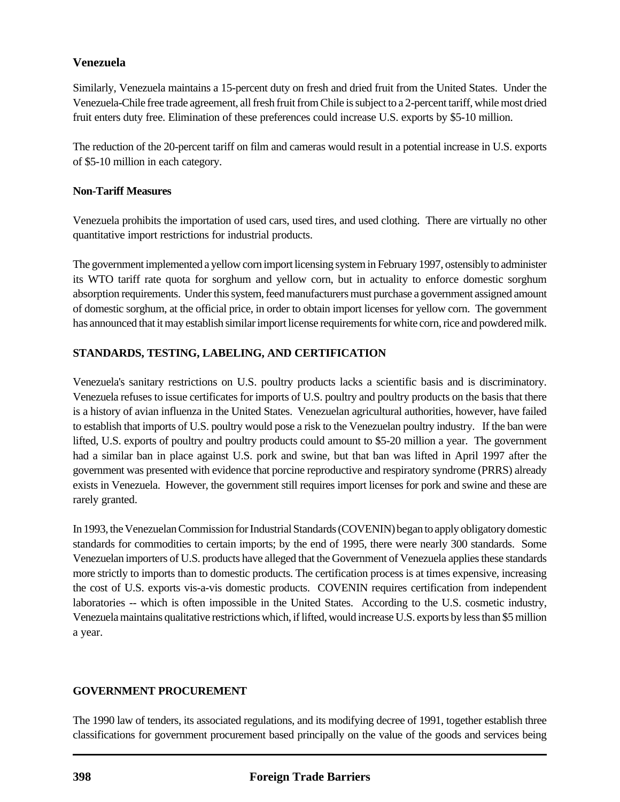# **Venezuela**

Similarly, Venezuela maintains a 15-percent duty on fresh and dried fruit from the United States. Under the Venezuela-Chile free trade agreement, all fresh fruit from Chile is subject to a 2-percent tariff, while most dried fruit enters duty free. Elimination of these preferences could increase U.S. exports by \$5-10 million.

The reduction of the 20-percent tariff on film and cameras would result in a potential increase in U.S. exports of \$5-10 million in each category.

#### **Non-Tariff Measures**

Venezuela prohibits the importation of used cars, used tires, and used clothing. There are virtually no other quantitative import restrictions for industrial products.

The government implemented a yellow corn import licensing system in February 1997, ostensibly to administer its WTO tariff rate quota for sorghum and yellow corn, but in actuality to enforce domestic sorghum absorption requirements. Under this system, feed manufacturers must purchase a government assigned amount of domestic sorghum, at the official price, in order to obtain import licenses for yellow corn. The government has announced that it may establish similar import license requirements for white corn, rice and powdered milk.

# **STANDARDS, TESTING, LABELING, AND CERTIFICATION**

Venezuela's sanitary restrictions on U.S. poultry products lacks a scientific basis and is discriminatory. Venezuela refuses to issue certificates for imports of U.S. poultry and poultry products on the basis that there is a history of avian influenza in the United States. Venezuelan agricultural authorities, however, have failed to establish that imports of U.S. poultry would pose a risk to the Venezuelan poultry industry. If the ban were lifted, U.S. exports of poultry and poultry products could amount to \$5-20 million a year. The government had a similar ban in place against U.S. pork and swine, but that ban was lifted in April 1997 after the government was presented with evidence that porcine reproductive and respiratory syndrome (PRRS) already exists in Venezuela. However, the government still requires import licenses for pork and swine and these are rarely granted.

In 1993, the Venezuelan Commission for Industrial Standards (COVENIN) began to apply obligatory domestic standards for commodities to certain imports; by the end of 1995, there were nearly 300 standards. Some Venezuelan importers of U.S. products have alleged that the Government of Venezuela applies these standards more strictly to imports than to domestic products. The certification process is at times expensive, increasing the cost of U.S. exports vis-a-vis domestic products. COVENIN requires certification from independent laboratories -- which is often impossible in the United States. According to the U.S. cosmetic industry, Venezuela maintains qualitative restrictions which, if lifted, would increase U.S. exports by less than \$5 million a year.

## **GOVERNMENT PROCUREMENT**

The 1990 law of tenders, its associated regulations, and its modifying decree of 1991, together establish three classifications for government procurement based principally on the value of the goods and services being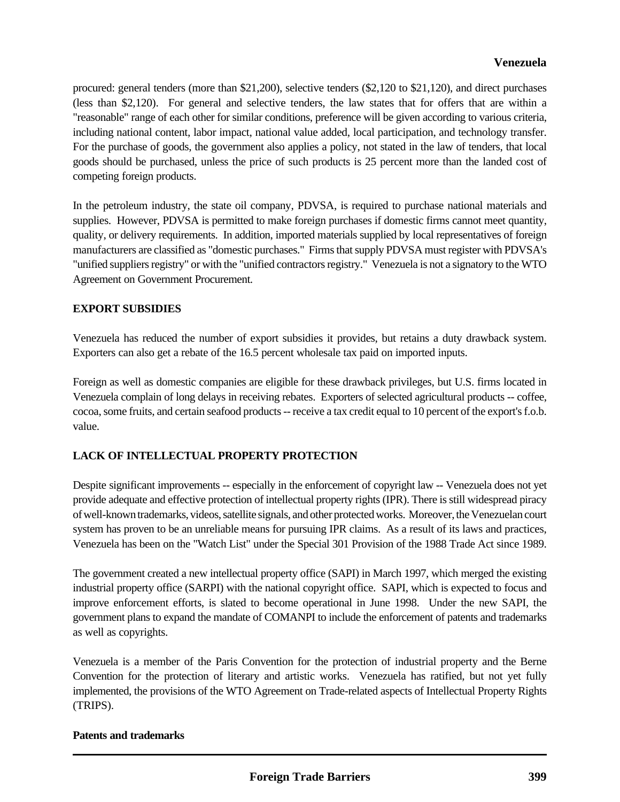procured: general tenders (more than \$21,200), selective tenders (\$2,120 to \$21,120), and direct purchases (less than \$2,120). For general and selective tenders, the law states that for offers that are within a "reasonable" range of each other for similar conditions, preference will be given according to various criteria, including national content, labor impact, national value added, local participation, and technology transfer. For the purchase of goods, the government also applies a policy, not stated in the law of tenders, that local goods should be purchased, unless the price of such products is 25 percent more than the landed cost of competing foreign products.

In the petroleum industry, the state oil company, PDVSA, is required to purchase national materials and supplies. However, PDVSA is permitted to make foreign purchases if domestic firms cannot meet quantity, quality, or delivery requirements. In addition, imported materials supplied by local representatives of foreign manufacturers are classified as "domestic purchases." Firms that supply PDVSA must register with PDVSA's "unified suppliers registry" or with the "unified contractors registry." Venezuela is not a signatory to the WTO Agreement on Government Procurement.

# **EXPORT SUBSIDIES**

Venezuela has reduced the number of export subsidies it provides, but retains a duty drawback system. Exporters can also get a rebate of the 16.5 percent wholesale tax paid on imported inputs.

Foreign as well as domestic companies are eligible for these drawback privileges, but U.S. firms located in Venezuela complain of long delays in receiving rebates. Exporters of selected agricultural products -- coffee, cocoa, some fruits, and certain seafood products -- receive a tax credit equal to 10 percent of the export's f.o.b. value.

## **LACK OF INTELLECTUAL PROPERTY PROTECTION**

Despite significant improvements -- especially in the enforcement of copyright law -- Venezuela does not yet provide adequate and effective protection of intellectual property rights (IPR). There is still widespread piracy of well-known trademarks, videos, satellite signals, and other protected works. Moreover, the Venezuelan court system has proven to be an unreliable means for pursuing IPR claims. As a result of its laws and practices, Venezuela has been on the "Watch List" under the Special 301 Provision of the 1988 Trade Act since 1989.

The government created a new intellectual property office (SAPI) in March 1997, which merged the existing industrial property office (SARPI) with the national copyright office. SAPI, which is expected to focus and improve enforcement efforts, is slated to become operational in June 1998. Under the new SAPI, the government plans to expand the mandate of COMANPI to include the enforcement of patents and trademarks as well as copyrights.

Venezuela is a member of the Paris Convention for the protection of industrial property and the Berne Convention for the protection of literary and artistic works. Venezuela has ratified, but not yet fully implemented, the provisions of the WTO Agreement on Trade-related aspects of Intellectual Property Rights (TRIPS).

## **Patents and trademarks**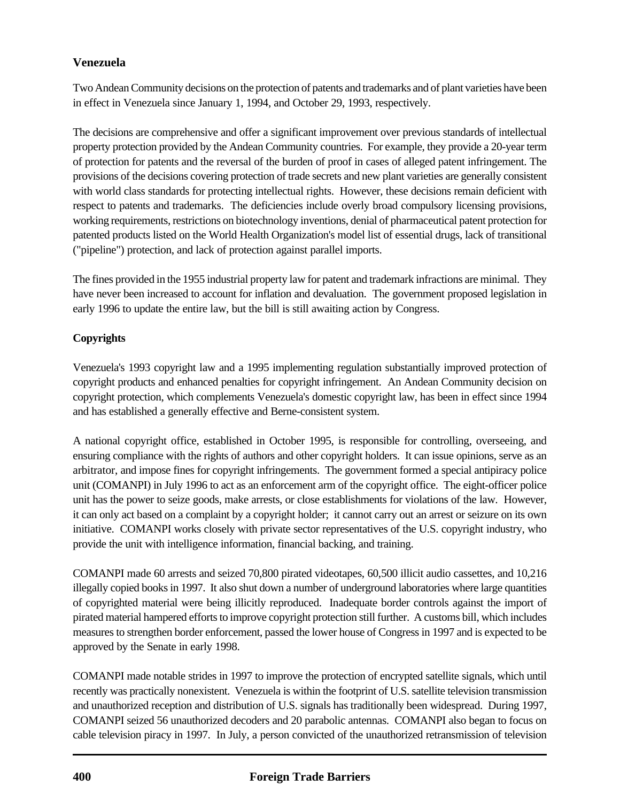# **Venezuela**

Two Andean Community decisions on the protection of patents and trademarks and of plant varieties have been in effect in Venezuela since January 1, 1994, and October 29, 1993, respectively.

The decisions are comprehensive and offer a significant improvement over previous standards of intellectual property protection provided by the Andean Community countries. For example, they provide a 20-year term of protection for patents and the reversal of the burden of proof in cases of alleged patent infringement. The provisions of the decisions covering protection of trade secrets and new plant varieties are generally consistent with world class standards for protecting intellectual rights. However, these decisions remain deficient with respect to patents and trademarks. The deficiencies include overly broad compulsory licensing provisions, working requirements, restrictions on biotechnology inventions, denial of pharmaceutical patent protection for patented products listed on the World Health Organization's model list of essential drugs, lack of transitional ("pipeline") protection, and lack of protection against parallel imports.

The fines provided in the 1955 industrial property law for patent and trademark infractions are minimal. They have never been increased to account for inflation and devaluation. The government proposed legislation in early 1996 to update the entire law, but the bill is still awaiting action by Congress.

## **Copyrights**

Venezuela's 1993 copyright law and a 1995 implementing regulation substantially improved protection of copyright products and enhanced penalties for copyright infringement. An Andean Community decision on copyright protection, which complements Venezuela's domestic copyright law, has been in effect since 1994 and has established a generally effective and Berne-consistent system.

A national copyright office, established in October 1995, is responsible for controlling, overseeing, and ensuring compliance with the rights of authors and other copyright holders. It can issue opinions, serve as an arbitrator, and impose fines for copyright infringements. The government formed a special antipiracy police unit (COMANPI) in July 1996 to act as an enforcement arm of the copyright office. The eight-officer police unit has the power to seize goods, make arrests, or close establishments for violations of the law. However, it can only act based on a complaint by a copyright holder; it cannot carry out an arrest or seizure on its own initiative. COMANPI works closely with private sector representatives of the U.S. copyright industry, who provide the unit with intelligence information, financial backing, and training.

COMANPI made 60 arrests and seized 70,800 pirated videotapes, 60,500 illicit audio cassettes, and 10,216 illegally copied books in 1997. It also shut down a number of underground laboratories where large quantities of copyrighted material were being illicitly reproduced. Inadequate border controls against the import of pirated material hampered efforts to improve copyright protection still further. A customs bill, which includes measures to strengthen border enforcement, passed the lower house of Congress in 1997 and is expected to be approved by the Senate in early 1998.

COMANPI made notable strides in 1997 to improve the protection of encrypted satellite signals, which until recently was practically nonexistent. Venezuela is within the footprint of U.S. satellite television transmission and unauthorized reception and distribution of U.S. signals has traditionally been widespread. During 1997, COMANPI seized 56 unauthorized decoders and 20 parabolic antennas. COMANPI also began to focus on cable television piracy in 1997. In July, a person convicted of the unauthorized retransmission of television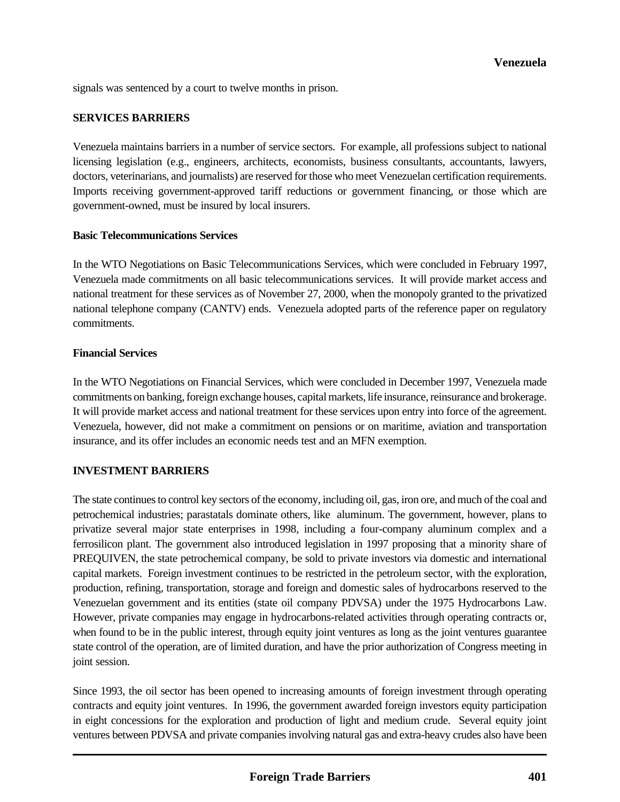signals was sentenced by a court to twelve months in prison.

#### **SERVICES BARRIERS**

Venezuela maintains barriers in a number of service sectors. For example, all professions subject to national licensing legislation (e.g., engineers, architects, economists, business consultants, accountants, lawyers, doctors, veterinarians, and journalists) are reserved for those who meet Venezuelan certification requirements. Imports receiving government-approved tariff reductions or government financing, or those which are government-owned, must be insured by local insurers.

#### **Basic Telecommunications Services**

In the WTO Negotiations on Basic Telecommunications Services, which were concluded in February 1997, Venezuela made commitments on all basic telecommunications services. It will provide market access and national treatment for these services as of November 27, 2000, when the monopoly granted to the privatized national telephone company (CANTV) ends. Venezuela adopted parts of the reference paper on regulatory commitments.

#### **Financial Services**

In the WTO Negotiations on Financial Services, which were concluded in December 1997, Venezuela made commitments on banking, foreign exchange houses, capital markets, life insurance, reinsurance and brokerage. It will provide market access and national treatment for these services upon entry into force of the agreement. Venezuela, however, did not make a commitment on pensions or on maritime, aviation and transportation insurance, and its offer includes an economic needs test and an MFN exemption.

#### **INVESTMENT BARRIERS**

The state continues to control key sectors of the economy, including oil, gas, iron ore, and much of the coal and petrochemical industries; parastatals dominate others, like aluminum. The government, however, plans to privatize several major state enterprises in 1998, including a four-company aluminum complex and a ferrosilicon plant. The government also introduced legislation in 1997 proposing that a minority share of PREQUIVEN, the state petrochemical company, be sold to private investors via domestic and international capital markets. Foreign investment continues to be restricted in the petroleum sector, with the exploration, production, refining, transportation, storage and foreign and domestic sales of hydrocarbons reserved to the Venezuelan government and its entities (state oil company PDVSA) under the 1975 Hydrocarbons Law. However, private companies may engage in hydrocarbons-related activities through operating contracts or, when found to be in the public interest, through equity joint ventures as long as the joint ventures guarantee state control of the operation, are of limited duration, and have the prior authorization of Congress meeting in joint session.

Since 1993, the oil sector has been opened to increasing amounts of foreign investment through operating contracts and equity joint ventures. In 1996, the government awarded foreign investors equity participation in eight concessions for the exploration and production of light and medium crude. Several equity joint ventures between PDVSA and private companies involving natural gas and extra-heavy crudes also have been